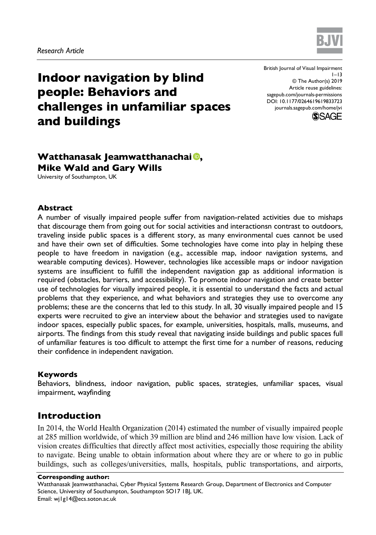

# **Indoor navigation by blind people: Behaviors and challenges in unfamiliar spaces and buildings**

British Journal of Visual Impairment  $1 - 13$ © The Author(s) 2019 Article reuse guidelines: sagepub.com/journals-permissions DOI: 10.1177/0264619619833723 journals.sagepub.com/home/jvi



# **Watthanasak Jeamwatthanachai , Mike Wald and Gary Wills**

University of Southampton, UK

#### **Abstract**

A number of visually impaired people suffer from navigation-related activities due to mishaps that discourage them from going out for social activities and interactionsn contrast to outdoors, traveling inside public spaces is a different story, as many environmental cues cannot be used and have their own set of difficulties. Some technologies have come into play in helping these people to have freedom in navigation (e.g., accessible map, indoor navigation systems, and wearable computing devices). However, technologies like accessible maps or indoor navigation systems are insufficient to fulfill the independent navigation gap as additional information is required (obstacles, barriers, and accessibility). To promote indoor navigation and create better use of technologies for visually impaired people, it is essential to understand the facts and actual problems that they experience, and what behaviors and strategies they use to overcome any problems; these are the concerns that led to this study. In all, 30 visually impaired people and 15 experts were recruited to give an interview about the behavior and strategies used to navigate indoor spaces, especially public spaces, for example, universities, hospitals, malls, museums, and airports. The findings from this study reveal that navigating inside buildings and public spaces full of unfamiliar features is too difficult to attempt the first time for a number of reasons, reducing their confidence in independent navigation.

#### **Keywords**

Behaviors, blindness, indoor navigation, public spaces, strategies, unfamiliar spaces, visual impairment, wayfinding

# **Introduction**

In 2014, the World Health Organization (2014) estimated the number of visually impaired people at 285 million worldwide, of which 39 million are blind and 246 million have low vision. Lack of vision creates difficulties that directly affect most activities, especially those requiring the ability to navigate. Being unable to obtain information about where they are or where to go in public buildings, such as colleges/universities, malls, hospitals, public transportations, and airports,

#### **Corresponding author:**

Watthanasak Jeamwatthanachai, Cyber Physical Systems Research Group, Department of Electronics and Computer Science, University of Southampton, Southampton SO17 1BJ, UK. Email: wj1g14@ecs.soton.ac.uk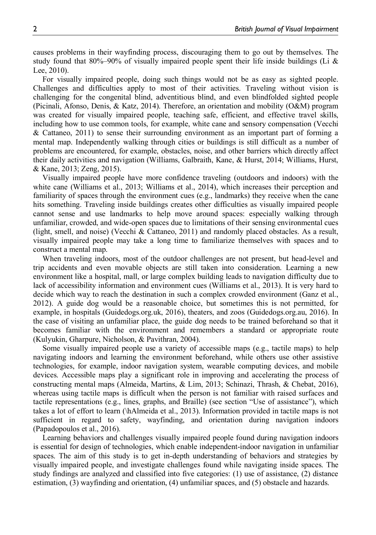causes problems in their wayfinding process, discouraging them to go out by themselves. The study found that 80%–90% of visually impaired people spent their life inside buildings (Li  $\&$ Lee, 2010).

For visually impaired people, doing such things would not be as easy as sighted people. Challenges and difficulties apply to most of their activities. Traveling without vision is challenging for the congenital blind, adventitious blind, and even blindfolded sighted people (Picinali, Afonso, Denis, & Katz, 2014). Therefore, an orientation and mobility (O&M) program was created for visually impaired people, teaching safe, efficient, and effective travel skills, including how to use common tools, for example, white cane and sensory compensation (Vecchi & Cattaneo, 2011) to sense their surrounding environment as an important part of forming a mental map. Independently walking through cities or buildings is still difficult as a number of problems are encountered, for example, obstacles, noise, and other barriers which directly affect their daily activities and navigation (Williams, Galbraith, Kane, & Hurst, 2014; Williams, Hurst, & Kane, 2013; Zeng, 2015).

Visually impaired people have more confidence traveling (outdoors and indoors) with the white cane (Williams et al., 2013; Williams et al., 2014), which increases their perception and familiarity of spaces through the environment cues (e.g., landmarks) they receive when the cane hits something. Traveling inside buildings creates other difficulties as visually impaired people cannot sense and use landmarks to help move around spaces: especially walking through unfamiliar, crowded, and wide-open spaces due to limitations of their sensing environmental cues (light, smell, and noise) (Vecchi & Cattaneo, 2011) and randomly placed obstacles. As a result, visually impaired people may take a long time to familiarize themselves with spaces and to construct a mental map.

When traveling indoors, most of the outdoor challenges are not present, but head-level and trip accidents and even movable objects are still taken into consideration. Learning a new environment like a hospital, mall, or large complex building leads to navigation difficulty due to lack of accessibility information and environment cues (Williams et al., 2013). It is very hard to decide which way to reach the destination in such a complex crowded environment (Ganz et al., 2012). A guide dog would be a reasonable choice, but sometimes this is not permitted, for example, in hospitals (Guidedogs.org.uk, 2016), theaters, and zoos (Guidedogs.org.au, 2016). In the case of visiting an unfamiliar place, the guide dog needs to be trained beforehand so that it becomes familiar with the environment and remembers a standard or appropriate route (Kulyukin, Gharpure, Nicholson, & Pavithran, 2004).

Some visually impaired people use a variety of accessible maps (e.g., tactile maps) to help navigating indoors and learning the environment beforehand, while others use other assistive technologies, for example, indoor navigation system, wearable computing devices, and mobile devices. Accessible maps play a significant role in improving and accelerating the process of constructing mental maps (Almeida, Martins, & Lim, 2013; Schinazi, Thrash, & Chebat, 2016), whereas using tactile maps is difficult when the person is not familiar with raised surfaces and tactile representations (e.g., lines, graphs, and Braille) (see section "Use of assistance"), which takes a lot of effort to learn (\hAlmeida et al., 2013). Information provided in tactile maps is not sufficient in regard to safety, wayfinding, and orientation during navigation indoors (Papadopoulos et al., 2016).

Learning behaviors and challenges visually impaired people found during navigation indoors is essential for design of technologies, which enable independent-indoor navigation in unfamiliar spaces. The aim of this study is to get in-depth understanding of behaviors and strategies by visually impaired people, and investigate challenges found while navigating inside spaces. The study findings are analyzed and classified into five categories: (1) use of assistance, (2) distance estimation, (3) wayfinding and orientation, (4) unfamiliar spaces, and (5) obstacle and hazards.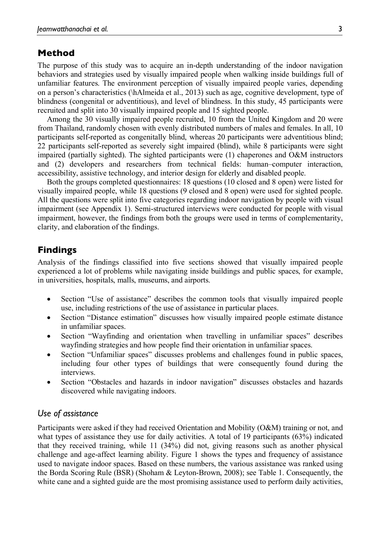# **Method**

The purpose of this study was to acquire an in-depth understanding of the indoor navigation behaviors and strategies used by visually impaired people when walking inside buildings full of unfamiliar features. The environment perception of visually impaired people varies, depending on a person's characteristics (\hAlmeida et al., 2013) such as age, cognitive development, type of blindness (congenital or adventitious), and level of blindness. In this study, 45 participants were recruited and split into 30 visually impaired people and 15 sighted people.

Among the 30 visually impaired people recruited, 10 from the United Kingdom and 20 were from Thailand, randomly chosen with evenly distributed numbers of males and females. In all, 10 participants self-reported as congenitally blind, whereas 20 participants were adventitious blind; 22 participants self-reported as severely sight impaired (blind), while 8 participants were sight impaired (partially sighted). The sighted participants were (1) chaperones and O&M instructors and (2) developers and researchers from technical fields: human–computer interaction, accessibility, assistive technology, and interior design for elderly and disabled people.

Both the groups completed questionnaires: 18 questions (10 closed and 8 open) were listed for visually impaired people, while 18 questions (9 closed and 8 open) were used for sighted people. All the questions were split into five categories regarding indoor navigation by people with visual impairment (see Appendix 1). Semi-structured interviews were conducted for people with visual impairment, however, the findings from both the groups were used in terms of complementarity, clarity, and elaboration of the findings.

# **Findings**

Analysis of the findings classified into five sections showed that visually impaired people experienced a lot of problems while navigating inside buildings and public spaces, for example, in universities, hospitals, malls, museums, and airports.

- Section "Use of assistance" describes the common tools that visually impaired people use, including restrictions of the use of assistance in particular places.
- Section "Distance estimation" discusses how visually impaired people estimate distance in unfamiliar spaces.
- Section "Wayfinding and orientation when travelling in unfamiliar spaces" describes wayfinding strategies and how people find their orientation in unfamiliar spaces.
- Section "Unfamiliar spaces" discusses problems and challenges found in public spaces, including four other types of buildings that were consequently found during the interviews.
- Section "Obstacles and hazards in indoor navigation" discusses obstacles and hazards discovered while navigating indoors.

## *Use of assistance*

Participants were asked if they had received Orientation and Mobility (O&M) training or not, and what types of assistance they use for daily activities. A total of 19 participants (63%) indicated that they received training, while 11 (34%) did not, giving reasons such as another physical challenge and age-affect learning ability. Figure 1 shows the types and frequency of assistance used to navigate indoor spaces. Based on these numbers, the various assistance was ranked using the Borda Scoring Rule (BSR) (Shoham & Leyton-Brown, 2008); see Table 1. Consequently, the white cane and a sighted guide are the most promising assistance used to perform daily activities,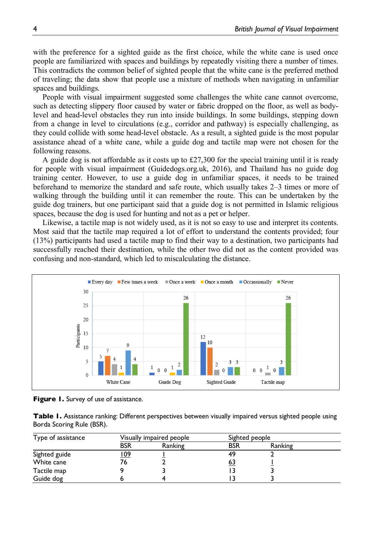with the preference for a sighted guide as the first choice, while the white cane is used once people are familiarized with spaces and buildings by repeatedly visiting there a number of times. This contradicts the common belief of sighted people that the white cane is the preferred method of traveling; the data show that people use a mixture of methods when navigating in unfamiliar spaces and buildings.

People with visual impairment suggested some challenges the white cane cannot overcome, such as detecting slippery floor caused by water or fabric dropped on the floor, as well as bodylevel and head-level obstacles they run into inside buildings. In some buildings, stepping down from a change in level to circulations (e.g., corridor and pathway) is especially challenging, as they could collide with some head-level obstacle. As a result, a sighted guide is the most popular assistance ahead of a white cane, while a guide dog and tactile map were not chosen for the following reasons.

A guide dog is not affordable as it costs up to  $\pounds$ 27,300 for the special training until it is ready for people with visual impairment (Guidedogs.org.uk, 2016), and Thailand has no guide dog training center. However, to use a guide dog in unfamiliar spaces, it needs to be trained beforehand to memorize the standard and safe route, which usually takes 2–3 times or more of walking through the building until it can remember the route. This can be undertaken by the guide dog trainers, but one participant said that a guide dog is not permitted in Islamic religious spaces, because the dog is used for hunting and not as a pet or helper.

Likewise, a tactile map is not widely used, as it is not so easy to use and interpret its contents. Most said that the tactile map required a lot of effort to understand the contents provided; four (13%) participants had used a tactile map to find their way to a destination, two participants had successfully reached their destination, while the other two did not as the content provided was confusing and non-standard, which led to miscalculating the distance.



**Figure 1.** Survey of use of assistance.

**Table 1.** Assistance ranking: Different perspectives between visually impaired versus sighted people using Borda Scoring Rule (BSR).

| Type of assistance | Visually impaired people |         | Sighted people |         |  |
|--------------------|--------------------------|---------|----------------|---------|--|
|                    | <b>BSR</b>               | Ranking | <b>BSR</b>     | Ranking |  |
| Sighted guide      | <u> 109</u>              |         | 49             |         |  |
| White cane         | ′ь                       |         | <u>63</u>      |         |  |
| Tactile map        |                          |         |                |         |  |
| Guide dog          |                          |         |                |         |  |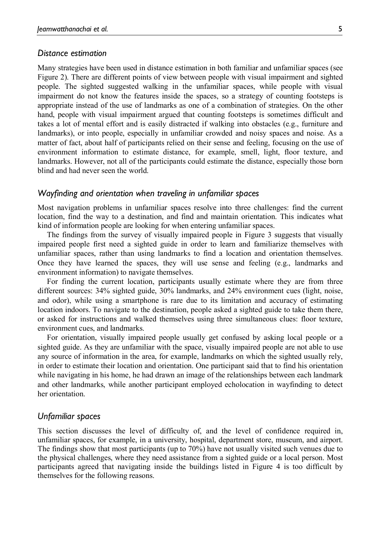#### *Distance estimation*

Many strategies have been used in distance estimation in both familiar and unfamiliar spaces (see Figure 2). There are different points of view between people with visual impairment and sighted people. The sighted suggested walking in the unfamiliar spaces, while people with visual impairment do not know the features inside the spaces, so a strategy of counting footsteps is appropriate instead of the use of landmarks as one of a combination of strategies. On the other hand, people with visual impairment argued that counting footsteps is sometimes difficult and takes a lot of mental effort and is easily distracted if walking into obstacles (e.g., furniture and landmarks), or into people, especially in unfamiliar crowded and noisy spaces and noise. As a matter of fact, about half of participants relied on their sense and feeling, focusing on the use of environment information to estimate distance, for example, smell, light, floor texture, and landmarks. However, not all of the participants could estimate the distance, especially those born blind and had never seen the world.

#### *Wayfinding and orientation when traveling in unfamiliar spaces*

Most navigation problems in unfamiliar spaces resolve into three challenges: find the current location, find the way to a destination, and find and maintain orientation. This indicates what kind of information people are looking for when entering unfamiliar spaces.

The findings from the survey of visually impaired people in Figure 3 suggests that visually impaired people first need a sighted guide in order to learn and familiarize themselves with unfamiliar spaces, rather than using landmarks to find a location and orientation themselves. Once they have learned the spaces, they will use sense and feeling (e.g., landmarks and environment information) to navigate themselves.

For finding the current location, participants usually estimate where they are from three different sources: 34% sighted guide, 30% landmarks, and 24% environment cues (light, noise, and odor), while using a smartphone is rare due to its limitation and accuracy of estimating location indoors. To navigate to the destination, people asked a sighted guide to take them there, or asked for instructions and walked themselves using three simultaneous clues: floor texture, environment cues, and landmarks.

For orientation, visually impaired people usually get confused by asking local people or a sighted guide. As they are unfamiliar with the space, visually impaired people are not able to use any source of information in the area, for example, landmarks on which the sighted usually rely, in order to estimate their location and orientation. One participant said that to find his orientation while navigating in his home, he had drawn an image of the relationships between each landmark and other landmarks, while another participant employed echolocation in wayfinding to detect her orientation.

#### *Unfamiliar spaces*

This section discusses the level of difficulty of, and the level of confidence required in, unfamiliar spaces, for example, in a university, hospital, department store, museum, and airport. The findings show that most participants (up to 70%) have not usually visited such venues due to the physical challenges, where they need assistance from a sighted guide or a local person. Most participants agreed that navigating inside the buildings listed in Figure 4 is too difficult by themselves for the following reasons.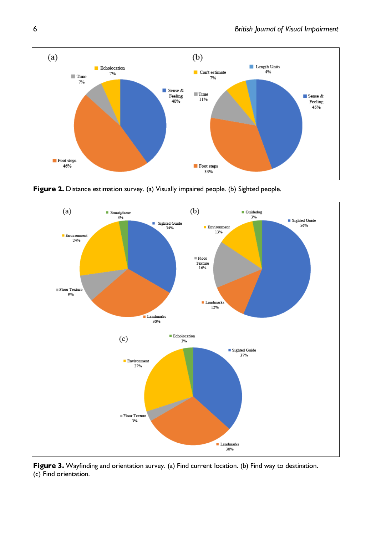

**Figure 2.** Distance estimation survey. (a) Visually impaired people. (b) Sighted people.



**Figure 3.** Wayfinding and orientation survey. (a) Find current location. (b) Find way to destination. (c) Find orientation.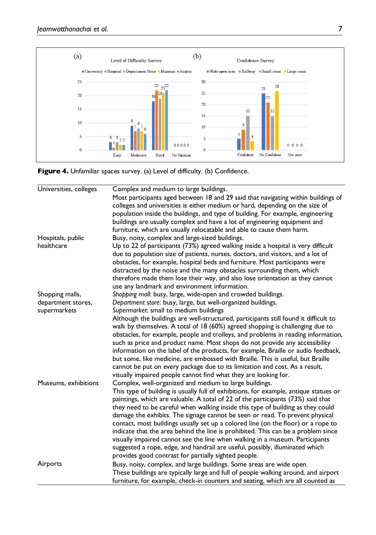

Figure 4. Unfamiliar spaces survey. (a) Level of difficulty. (b) Confidence.

| Universities, colleges | Complex and medium to large buildings.<br>Most participants aged between 18 and 29 said that navigating within buildings of<br>colleges and universities is either medium or hard, depending on the size of |
|------------------------|-------------------------------------------------------------------------------------------------------------------------------------------------------------------------------------------------------------|
|                        | population inside the buildings, and type of building. For example, engineering                                                                                                                             |
|                        | buildings are usually complex and have a lot of engineering equipment and                                                                                                                                   |
|                        | furniture, which are usually relocatable and able to cause them harm.                                                                                                                                       |
| Hospitals, public      | Busy, noisy, complex and large-sized buildings.                                                                                                                                                             |
| healthcare             | Up to 22 of participants (73%) agreed walking inside a hospital is very difficult<br>due to population size of patients, nurses, doctors, and visitors, and a lot of                                        |
|                        | obstacles, for example, hospital beds and furniture. Most participants were                                                                                                                                 |
|                        | distracted by the noise and the many obstacles surrounding them, which                                                                                                                                      |
|                        | therefore made them lose their way, and also lose orientation as they cannot<br>use any landmark and environment information.                                                                               |
| Shopping malls,        | Shopping mall: busy, large, wide-open and crowded buildings.                                                                                                                                                |
| department stores,     | Department store: busy, large, but well-organized buildings.                                                                                                                                                |
| supermarkets           | Supermarket: small to medium buildings                                                                                                                                                                      |
|                        | Although the buildings are well-structured, participants still found it difficult to                                                                                                                        |
|                        | walk by themselves. A total of 18 (60%) agreed shopping is challenging due to                                                                                                                               |
|                        | obstacles, for example, people and trolleys, and problems in reading information,                                                                                                                           |
|                        | such as price and product name. Most shops do not provide any accessibility                                                                                                                                 |
|                        | information on the label of the products, for example, Braille or audio feedback,                                                                                                                           |
|                        | but some, like medicine, are embossed with Braille. This is useful, but Braille                                                                                                                             |
|                        | cannot be put on every package due to its limitation and cost. As a result,                                                                                                                                 |
|                        | visually impaired people cannot find what they are looking for.                                                                                                                                             |
| Museums, exhibitions   | Complex, well-organized and medium to large buildings.                                                                                                                                                      |
|                        | This type of building is usually full of exhibitions, for example, antique statues or                                                                                                                       |
|                        | paintings, which are valuable. A total of 22 of the participants (73%) said that                                                                                                                            |
|                        | they need to be careful when walking inside this type of building as they could                                                                                                                             |
|                        | damage the exhibits. The signage cannot be seen or read. To prevent physical                                                                                                                                |
|                        | contact, most buildings usually set up a colored line (on the floor) or a rope to                                                                                                                           |
|                        | indicate that the area behind the line is prohibited. This can be a problem since                                                                                                                           |
|                        | visually impaired cannot see the line when walking in a museum. Participants                                                                                                                                |
|                        | suggested a rope, edge, and handrail are useful, possibly, illuminated which                                                                                                                                |
|                        | provides good contrast for partially sighted people.                                                                                                                                                        |
| Airports               | Busy, noisy, complex, and large buildings. Some areas are wide open.                                                                                                                                        |
|                        | These buildings are typically large and full of people walking around, and airport                                                                                                                          |
|                        | furniture, for example, check-in counters and seating, which are all counted as                                                                                                                             |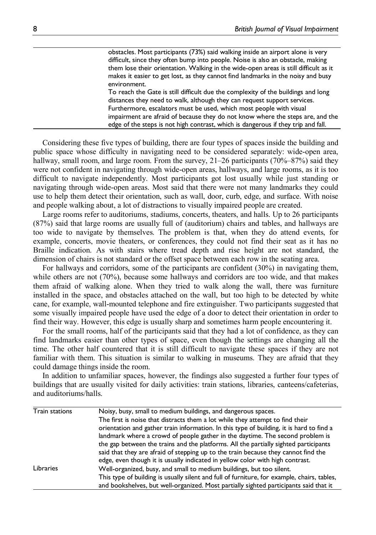obstacles. Most participants (73%) said walking inside an airport alone is very difficult, since they often bump into people. Noise is also an obstacle, making them lose their orientation. Walking in the wide-open areas is still difficult as it makes it easier to get lost, as they cannot find landmarks in the noisy and busy environment.

To reach the Gate is still difficult due the complexity of the buildings and long distances they need to walk, although they can request support services. Furthermore, escalators must be used, which most people with visual impairment are afraid of because they do not know where the steps are, and the edge of the steps is not high contrast, which is dangerous if they trip and fall.

Considering these five types of building, there are four types of spaces inside the building and public space whose difficulty in navigating need to be considered separately: wide-open area, hallway, small room, and large room. From the survey,  $21-26$  participants (70%–87%) said they were not confident in navigating through wide-open areas, hallways, and large rooms, as it is too difficult to navigate independently. Most participants got lost usually while just standing or navigating through wide-open areas. Most said that there were not many landmarks they could use to help them detect their orientation, such as wall, door, curb, edge, and surface. With noise and people walking about, a lot of distractions to visually impaired people are created.

Large rooms refer to auditoriums, stadiums, concerts, theaters, and halls. Up to 26 participants (87%) said that large rooms are usually full of (auditorium) chairs and tables, and hallways are too wide to navigate by themselves. The problem is that, when they do attend events, for example, concerts, movie theaters, or conferences, they could not find their seat as it has no Braille indication. As with stairs where tread depth and rise height are not standard, the dimension of chairs is not standard or the offset space between each row in the seating area.

For hallways and corridors, some of the participants are confident (30%) in navigating them, while others are not (70%), because some hallways and corridors are too wide, and that makes them afraid of walking alone. When they tried to walk along the wall, there was furniture installed in the space, and obstacles attached on the wall, but too high to be detected by white cane, for example, wall-mounted telephone and fire extinguisher. Two participants suggested that some visually impaired people have used the edge of a door to detect their orientation in order to find their way. However, this edge is usually sharp and sometimes harm people encountering it.

For the small rooms, half of the participants said that they had a lot of confidence, as they can find landmarks easier than other types of space, even though the settings are changing all the time. The other half countered that it is still difficult to navigate these spaces if they are not familiar with them. This situation is similar to walking in museums. They are afraid that they could damage things inside the room.

In addition to unfamiliar spaces, however, the findings also suggested a further four types of buildings that are usually visited for daily activities: train stations, libraries, canteens/cafeterias, and auditoriums/halls.

| <b>Train stations</b> | Noisy, busy, small to medium buildings, and dangerous spaces.                               |  |  |
|-----------------------|---------------------------------------------------------------------------------------------|--|--|
|                       | The first is noise that distracts them a lot while they attempt to find their               |  |  |
|                       | orientation and gather train information. In this type of building, it is hard to find a    |  |  |
|                       | landmark where a crowd of people gather in the daytime. The second problem is               |  |  |
|                       | the gap between the trains and the platforms. All the partially sighted participants        |  |  |
|                       | said that they are afraid of stepping up to the train because they cannot find the          |  |  |
|                       | edge, even though it is usually indicated in yellow color with high contrast.               |  |  |
| Libraries             | Well-organized, busy, and small to medium buildings, but too silent.                        |  |  |
|                       | This type of building is usually silent and full of furniture, for example, chairs, tables, |  |  |
|                       | and bookshelves, but well-organized. Most partially sighted participants said that it       |  |  |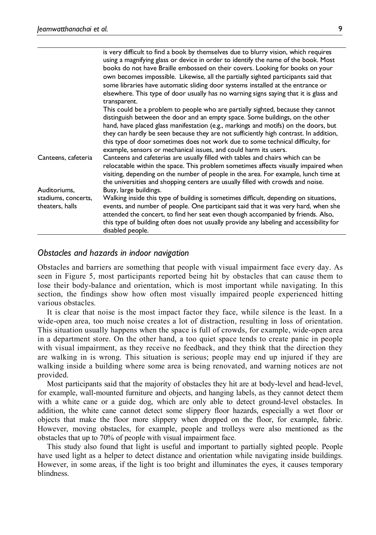|                                        | is very difficult to find a book by themselves due to blurry vision, which requires<br>using a magnifying glass or device in order to identify the name of the book. Most<br>books do not have Braille embossed on their covers. Looking for books on your<br>own becomes impossible. Likewise, all the partially sighted participants said that<br>some libraries have automatic sliding door systems installed at the entrance or |
|----------------------------------------|-------------------------------------------------------------------------------------------------------------------------------------------------------------------------------------------------------------------------------------------------------------------------------------------------------------------------------------------------------------------------------------------------------------------------------------|
|                                        | elsewhere. This type of door usually has no warning signs saying that it is glass and<br>transparent.                                                                                                                                                                                                                                                                                                                               |
|                                        | This could be a problem to people who are partially sighted, because they cannot<br>distinguish between the door and an empty space. Some buildings, on the other                                                                                                                                                                                                                                                                   |
|                                        | hand, have placed glass manifestation (e.g., markings and motifs) on the doors, but<br>they can hardly be seen because they are not sufficiently high contrast. In addition,<br>this type of door sometimes does not work due to some technical difficulty, for<br>example, sensors or mechanical issues, and could harm its users.                                                                                                 |
| Canteens, cafeteria                    | Canteens and cafeterias are usually filled with tables and chairs which can be<br>relocatable within the space. This problem sometimes affects visually impaired when<br>visiting, depending on the number of people in the area. For example, lunch time at<br>the universities and shopping centers are usually filled with crowds and noise.                                                                                     |
| Auditoriums,                           | Busy, large buildings.                                                                                                                                                                                                                                                                                                                                                                                                              |
| stadiums, concerts,<br>theaters, halls | Walking inside this type of building is sometimes difficult, depending on situations,<br>events, and number of people. One participant said that it was very hard, when she<br>attended the concert, to find her seat even though accompanied by friends. Also,<br>this type of building often does not usually provide any labeling and accessibility for<br>disabled people.                                                      |

## *Obstacles and hazards in indoor navigation*

Obstacles and barriers are something that people with visual impairment face every day. As seen in Figure 5, most participants reported being hit by obstacles that can cause them to lose their body-balance and orientation, which is most important while navigating. In this section, the findings show how often most visually impaired people experienced hitting various obstacles.

It is clear that noise is the most impact factor they face, while silence is the least. In a wide-open area, too much noise creates a lot of distraction, resulting in loss of orientation. This situation usually happens when the space is full of crowds, for example, wide-open area in a department store. On the other hand, a too quiet space tends to create panic in people with visual impairment, as they receive no feedback, and they think that the direction they are walking in is wrong. This situation is serious; people may end up injured if they are walking inside a building where some area is being renovated, and warning notices are not provided.

Most participants said that the majority of obstacles they hit are at body-level and head-level, for example, wall-mounted furniture and objects, and hanging labels, as they cannot detect them with a white cane or a guide dog, which are only able to detect ground-level obstacles. In addition, the white cane cannot detect some slippery floor hazards, especially a wet floor or objects that make the floor more slippery when dropped on the floor, for example, fabric. However, moving obstacles, for example, people and trolleys were also mentioned as the obstacles that up to 70% of people with visual impairment face.

This study also found that light is useful and important to partially sighted people. People have used light as a helper to detect distance and orientation while navigating inside buildings. However, in some areas, if the light is too bright and illuminates the eyes, it causes temporary blindness.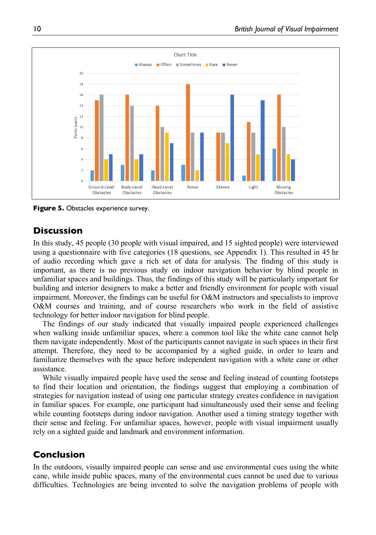

**Figure 5.** Obstacles experience survey.

# **Discussion**

In this study, 45 people (30 people with visual impaired, and 15 sighted people) were interviewed using a questionnaire with five categories (18 questions, see Appendix 1). This resulted in 45 hr of audio recording which gave a rich set of data for analysis. The finding of this study is important, as there is no previous study on indoor navigation behavior by blind people in unfamiliar spaces and buildings. Thus, the findings of this study will be particularly important for building and interior designers to make a better and friendly environment for people with visual impairment. Moreover, the findings can be useful for O&M instructors and specialists to improve O&M courses and training, and of course researchers who work in the field of assistive technology for better indoor navigation for blind people.

The findings of our study indicated that visually impaired people experienced challenges when walking inside unfamiliar spaces, where a common tool like the white cane cannot help them navigate independently. Most of the participants cannot navigate in such spaces in their first attempt. Therefore, they need to be accompanied by a sighed guide, in order to learn and familiarize themselves with the space before independent navigation with a white cane or other assistance.

While visually impaired people have used the sense and feeling instead of counting footsteps to find their location and orientation, the findings suggest that employing a combination of strategies for navigation instead of using one particular strategy creates confidence in navigation in familiar spaces. For example, one participant had simultaneously used their sense and feeling while counting footsteps during indoor navigation. Another used a timing strategy together with their sense and feeling. For unfamiliar spaces, however, people with visual impairment usually rely on a sighted guide and landmark and environment information.

# **Conclusion**

In the outdoors, visually impaired people can sense and use environmental cues using the white cane, while inside public spaces, many of the environmental cues cannot be used due to various difficulties. Technologies are being invented to solve the navigation problems of people with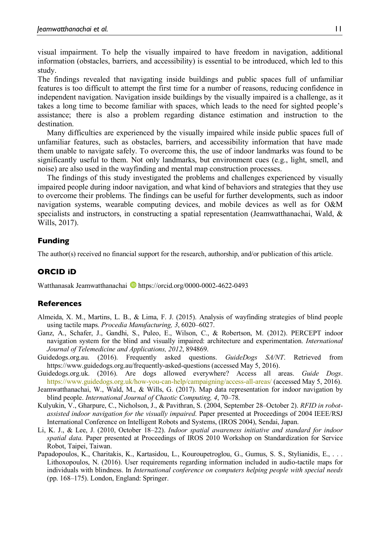visual impairment. To help the visually impaired to have freedom in navigation, additional information (obstacles, barriers, and accessibility) is essential to be introduced, which led to this study.

The findings revealed that navigating inside buildings and public spaces full of unfamiliar features is too difficult to attempt the first time for a number of reasons, reducing confidence in independent navigation. Navigation inside buildings by the visually impaired is a challenge, as it takes a long time to become familiar with spaces, which leads to the need for sighted people's assistance; there is also a problem regarding distance estimation and instruction to the destination.

Many difficulties are experienced by the visually impaired while inside public spaces full of unfamiliar features, such as obstacles, barriers, and accessibility information that have made them unable to navigate safely. To overcome this, the use of indoor landmarks was found to be significantly useful to them. Not only landmarks, but environment cues (e.g., light, smell, and noise) are also used in the wayfinding and mental map construction processes.

The findings of this study investigated the problems and challenges experienced by visually impaired people during indoor navigation, and what kind of behaviors and strategies that they use to overcome their problems. The findings can be useful for further developments, such as indoor navigation systems, wearable computing devices, and mobile devices as well as for O&M specialists and instructors, in constructing a spatial representation (Jeanwatthanachai, Wald, & Wills, 2017).

## **Funding**

The author(s) received no financial support for the research, authorship, and/or publication of this article.

# **ORCID iD**

Watthanasak Jeamwatthanachai https://orcid.org/0000-0002-4622-0493

## **References**

- Almeida, X. M., Martins, L. B., & Lima, F. J. (2015). Analysis of wayfinding strategies of blind people using tactile maps. *Procedia Manufacturing, 3*, 6020–6027.
- Ganz, A., Schafer, J., Gandhi, S., Puleo, E., Wilson, C., & Robertson, M. (2012). PERCEPT indoor navigation system for the blind and visually impaired: architecture and experimentation. *International Journal of Telemedicine and Applications, 2012*, 894869.
- Guidedogs.org.au. (2016). Frequently asked questions. *GuideDogs SA/NT*. Retrieved from https://www.guidedogs.org.au/frequently-asked-questions (accessed May 5, 2016).
- Guidedogs.org.uk. (2016). Are dogs allowed everywhere? Access all areas. *Guide Dogs*. https://www.guidedogs.org.uk/how-you-can-help/campaigning/access-all-areas/ (accessed May 5, 2016).
- Jeamwatthanachai, W., Wald, M., & Wills, G. (2017). Map data representation for indoor navigation by blind people. *International Journal of Chaotic Computing, 4*, 70–78.
- Kulyukin, V., Gharpure, C., Nicholson, J., & Pavithran, S. (2004, September 28–October 2). *RFID in robotassisted indoor navigation for the visually impaired*. Paper presented at Proceedings of 2004 IEEE/RSJ International Conference on Intelligent Robots and Systems, (IROS 2004), Sendai, Japan.
- Li, K. J., & Lee, J. (2010, October 18–22). *Indoor spatial awareness initiative and standard for indoor spatial data*. Paper presented at Proceedings of IROS 2010 Workshop on Standardization for Service Robot, Taipei, Taiwan.
- Papadopoulos, K., Charitakis, K., Kartasidou, L., Kouroupetroglou, G., Gumus, S. S., Stylianidis, E., . . . Lithoxopoulos, N. (2016). User requirements regarding information included in audio-tactile maps for individuals with blindness. In *International conference on computers helping people with special needs* (pp. 168–175). London, England: Springer.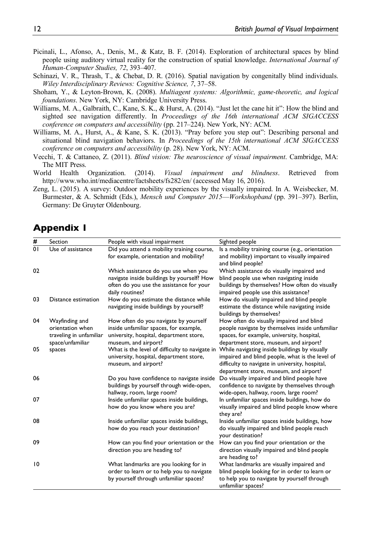- Picinali, L., Afonso, A., Denis, M., & Katz, B. F. (2014). Exploration of architectural spaces by blind people using auditory virtual reality for the construction of spatial knowledge. *International Journal of Human-Computer Studies, 72*, 393–407.
- Schinazi, V. R., Thrash, T., & Chebat, D. R. (2016). Spatial navigation by congenitally blind individuals. *Wiley Interdisciplinary Reviews: Cognitive Science, 7*, 37–58.
- Shoham, Y., & Leyton-Brown, K. (2008). *Multiagent systems: Algorithmic, game-theoretic, and logical foundations*. New York, NY: Cambridge University Press.
- Williams, M. A., Galbraith, C., Kane, S. K., & Hurst, A. (2014). "Just let the cane hit it": How the blind and sighted see navigation differently. In *Proceedings of the 16th international ACM SIGACCESS conference on computers and accessibility* (pp. 217–224). New York, NY: ACM.
- Williams, M. A., Hurst, A., & Kane, S. K. (2013). "Pray before you step out": Describing personal and situational blind navigation behaviors. In *Proceedings of the 15th international ACM SIGACCESS conference on computers and accessibility* (p. 28). New York, NY: ACM.
- Vecchi, T. & Cattaneo, Z. (2011). *Blind vision: The neuroscience of visual impairment*. Cambridge, MA: The MIT Press.
- World Health Organization. (2014). *Visual impairment and blindness*. Retrieved from http://www.who.int/mediacentre/factsheets/fs282/en/ (accessed May 16, 2016).
- Zeng, L. (2015). A survey: Outdoor mobility experiences by the visually impaired. In A. Weisbecker, M. Burmester, & A. Schmidt (Eds.), *Mensch und Computer 2015*—*Workshopband* (pp. 391–397). Berlin, Germany: De Gruyter Oldenbourg.

# **Appendix 1**

| #  | Section                 | People with visual impairment                                          | Sighted people                                                                        |
|----|-------------------------|------------------------------------------------------------------------|---------------------------------------------------------------------------------------|
| 01 | Use of assistance       | Did you attend a mobility training course,                             | Is a mobility training course (e.g., orientation                                      |
|    |                         | for example, orientation and mobility?                                 | and mobility) important to visually impaired                                          |
|    |                         |                                                                        | and blind people?                                                                     |
| 02 |                         | Which assistance do you use when you                                   | Which assistance do visually impaired and                                             |
|    |                         | navigate inside buildings by yourself? How                             | blind people use when navigating inside                                               |
|    |                         | often do you use the assistance for your                               | buildings by themselves? How often do visually                                        |
|    |                         | daily routines?                                                        | impaired people use this assistance?                                                  |
| 03 | Distance estimation     | How do you estimate the distance while                                 | How do visually impaired and blind people                                             |
|    |                         | navigating inside buildings by yourself?                               | estimate the distance while navigating inside<br>buildings by themselves?             |
| 04 | Wayfinding and          | How often do you navigate by yourself                                  | How often do visually impaired and blind                                              |
|    | orientation when        | inside unfamiliar spaces, for example,                                 | people navigate by themselves inside unfamiliar                                       |
|    | traveling in unfamiliar | university, hospital, department store,                                | spaces, for example, university, hospital,                                            |
|    | space/unfamiliar        | museum, and airport?                                                   | department store, museum, and airport?                                                |
| 05 | spaces                  | What is the level of difficulty to navigate in                         | While navigating inside buildings by visually                                         |
|    |                         | university, hospital, department store,                                | impaired and blind people, what is the level of                                       |
|    |                         | museum, and airport?                                                   | difficulty to navigate in university, hospital,                                       |
|    |                         |                                                                        | department store, museum, and airport?                                                |
| 06 |                         | Do you have confidence to navigate inside                              | Do visually impaired and blind people have                                            |
|    |                         | buildings by yourself through wide-open,<br>hallway, room, large room? | confidence to navigate by themselves through<br>wide-open, hallway, room, large room? |
| 07 |                         | Inside unfamiliar spaces inside buildings,                             | In unfamiliar spaces inside buildings, how do                                         |
|    |                         | how do you know where you are?                                         | visually impaired and blind people know where                                         |
|    |                         |                                                                        | they are?                                                                             |
| 08 |                         | Inside unfamiliar spaces inside buildings,                             | Inside unfamiliar spaces inside buildings, how                                        |
|    |                         | how do you reach your destination?                                     | do visually impaired and blind people reach                                           |
|    |                         |                                                                        | your destination?                                                                     |
| 09 |                         | How can you find your orientation or the                               | How can you find your orientation or the                                              |
|    |                         | direction you are heading to?                                          | direction visually impaired and blind people<br>are heading to?                       |
| 10 |                         | What landmarks are you looking for in                                  | What landmarks are visually impaired and                                              |
|    |                         | order to learn or to help you to navigate                              | blind people looking for in order to learn or                                         |
|    |                         | by yourself through unfamiliar spaces?                                 | to help you to navigate by yourself through<br>unfamiliar spaces?                     |